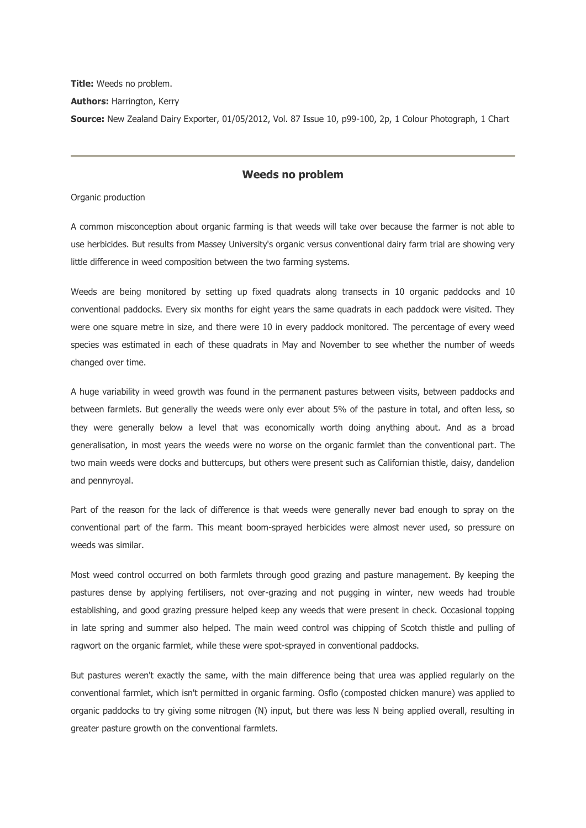**Title:** Weeds no problem. **Authors:** Harrington, Kerry **Source:** New Zealand Dairy Exporter, 01/05/2012, Vol. 87 Issue 10, p99-100, 2p, 1 Colour Photograph, 1 Chart

# **Weeds no problem**

Organic production

A common misconception about organic farming is that weeds will take over because the farmer is not able to use herbicides. But results from Massey University's organic versus conventional dairy farm trial are showing very little difference in weed composition between the two farming systems.

Weeds are being monitored by setting up fixed quadrats along transects in 10 organic paddocks and 10 conventional paddocks. Every six months for eight years the same quadrats in each paddock were visited. They were one square metre in size, and there were 10 in every paddock monitored. The percentage of every weed species was estimated in each of these quadrats in May and November to see whether the number of weeds changed over time.

A huge variability in weed growth was found in the permanent pastures between visits, between paddocks and between farmlets. But generally the weeds were only ever about 5% of the pasture in total, and often less, so they were generally below a level that was economically worth doing anything about. And as a broad generalisation, in most years the weeds were no worse on the organic farmlet than the conventional part. The two main weeds were docks and buttercups, but others were present such as Californian thistle, daisy, dandelion and pennyroyal.

Part of the reason for the lack of difference is that weeds were generally never bad enough to spray on the conventional part of the farm. This meant boom-sprayed herbicides were almost never used, so pressure on weeds was similar.

Most weed control occurred on both farmlets through good grazing and pasture management. By keeping the pastures dense by applying fertilisers, not over-grazing and not pugging in winter, new weeds had trouble establishing, and good grazing pressure helped keep any weeds that were present in check. Occasional topping in late spring and summer also helped. The main weed control was chipping of Scotch thistle and pulling of ragwort on the organic farmlet, while these were spot-sprayed in conventional paddocks.

But pastures weren't exactly the same, with the main difference being that urea was applied regularly on the conventional farmlet, which isn't permitted in organic farming. Osflo (composted chicken manure) was applied to organic paddocks to try giving some nitrogen (N) input, but there was less N being applied overall, resulting in greater pasture growth on the conventional farmlets.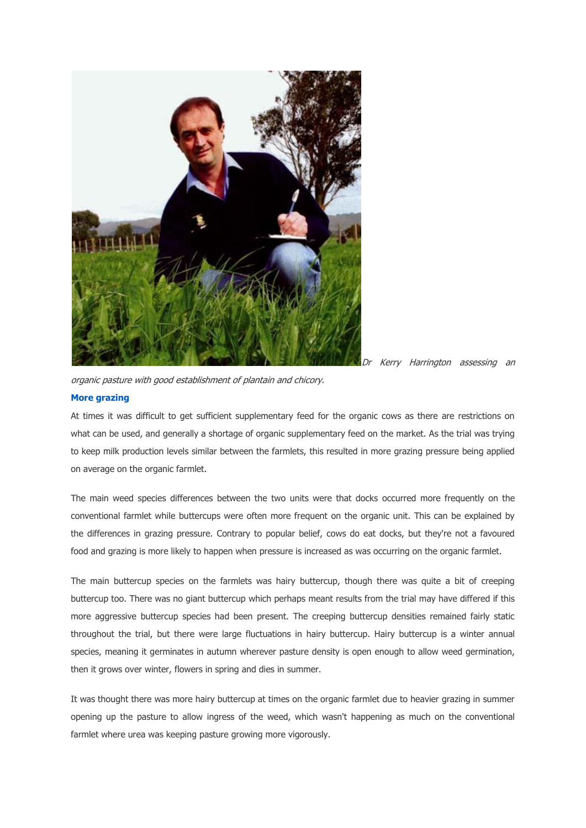

Dr Kerry Harrington assessing an

organic pasture with good establishment of plantain and chicory.

## **[More grazing](http://ehis.ebscohost.com.ezproxy.massey.ac.nz/eds/delivery?sid=be1bc291-f4f9-41e6-987d-f08f4a282d88%40sessionmgr111&vid=17&hid=109#toc)**

At times it was difficult to get sufficient supplementary feed for the organic cows as there are restrictions on what can be used, and generally a shortage of organic supplementary feed on the market. As the trial was trying to keep milk production levels similar between the farmlets, this resulted in more grazing pressure being applied on average on the organic farmlet.

The main weed species differences between the two units were that docks occurred more frequently on the conventional farmlet while buttercups were often more frequent on the organic unit. This can be explained by the differences in grazing pressure. Contrary to popular belief, cows do eat docks, but they're not a favoured food and grazing is more likely to happen when pressure is increased as was occurring on the organic farmlet.

The main buttercup species on the farmlets was hairy buttercup, though there was quite a bit of creeping buttercup too. There was no giant buttercup which perhaps meant results from the trial may have differed if this more aggressive buttercup species had been present. The creeping buttercup densities remained fairly static throughout the trial, but there were large fluctuations in hairy buttercup. Hairy buttercup is a winter annual species, meaning it germinates in autumn wherever pasture density is open enough to allow weed germination, then it grows over winter, flowers in spring and dies in summer.

It was thought there was more hairy buttercup at times on the organic farmlet due to heavier grazing in summer opening up the pasture to allow ingress of the weed, which wasn't happening as much on the conventional farmlet where urea was keeping pasture growing more vigorously.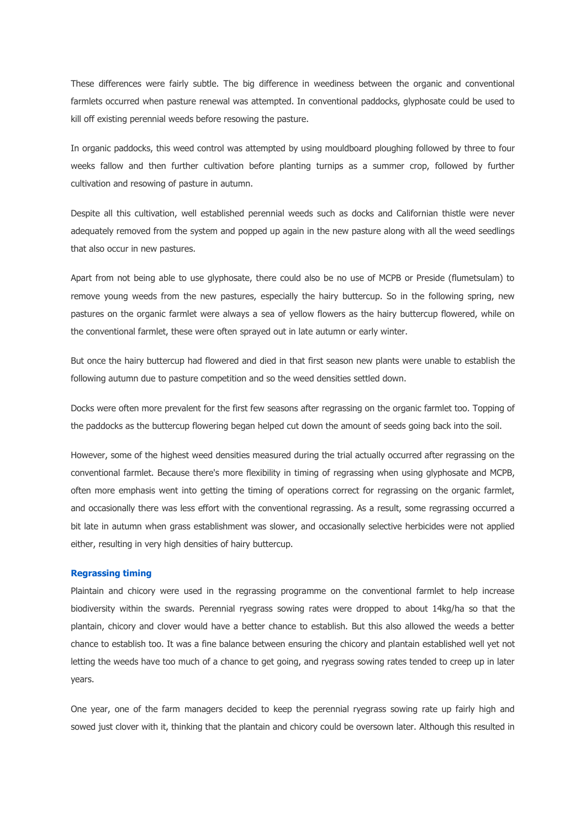These differences were fairly subtle. The big difference in weediness between the organic and conventional farmlets occurred when pasture renewal was attempted. In conventional paddocks, glyphosate could be used to kill off existing perennial weeds before resowing the pasture.

In organic paddocks, this weed control was attempted by using mouldboard ploughing followed by three to four weeks fallow and then further cultivation before planting turnips as a summer crop, followed by further cultivation and resowing of pasture in autumn.

Despite all this cultivation, well established perennial weeds such as docks and Californian thistle were never adequately removed from the system and popped up again in the new pasture along with all the weed seedlings that also occur in new pastures.

Apart from not being able to use glyphosate, there could also be no use of MCPB or Preside (flumetsulam) to remove young weeds from the new pastures, especially the hairy buttercup. So in the following spring, new pastures on the organic farmlet were always a sea of yellow flowers as the hairy buttercup flowered, while on the conventional farmlet, these were often sprayed out in late autumn or early winter.

But once the hairy buttercup had flowered and died in that first season new plants were unable to establish the following autumn due to pasture competition and so the weed densities settled down.

Docks were often more prevalent for the first few seasons after regrassing on the organic farmlet too. Topping of the paddocks as the buttercup flowering began helped cut down the amount of seeds going back into the soil.

However, some of the highest weed densities measured during the trial actually occurred after regrassing on the conventional farmlet. Because there's more flexibility in timing of regrassing when using glyphosate and MCPB, often more emphasis went into getting the timing of operations correct for regrassing on the organic farmlet, and occasionally there was less effort with the conventional regrassing. As a result, some regrassing occurred a bit late in autumn when grass establishment was slower, and occasionally selective herbicides were not applied either, resulting in very high densities of hairy buttercup.

## **[Regrassing timing](http://ehis.ebscohost.com.ezproxy.massey.ac.nz/eds/delivery?sid=be1bc291-f4f9-41e6-987d-f08f4a282d88%40sessionmgr111&vid=17&hid=109#toc)**

Plaintain and chicory were used in the regrassing programme on the conventional farmlet to help increase biodiversity within the swards. Perennial ryegrass sowing rates were dropped to about 14kg/ha so that the plantain, chicory and clover would have a better chance to establish. But this also allowed the weeds a better chance to establish too. It was a fine balance between ensuring the chicory and plantain established well yet not letting the weeds have too much of a chance to get going, and ryegrass sowing rates tended to creep up in later years.

One year, one of the farm managers decided to keep the perennial ryegrass sowing rate up fairly high and sowed just clover with it, thinking that the plantain and chicory could be oversown later. Although this resulted in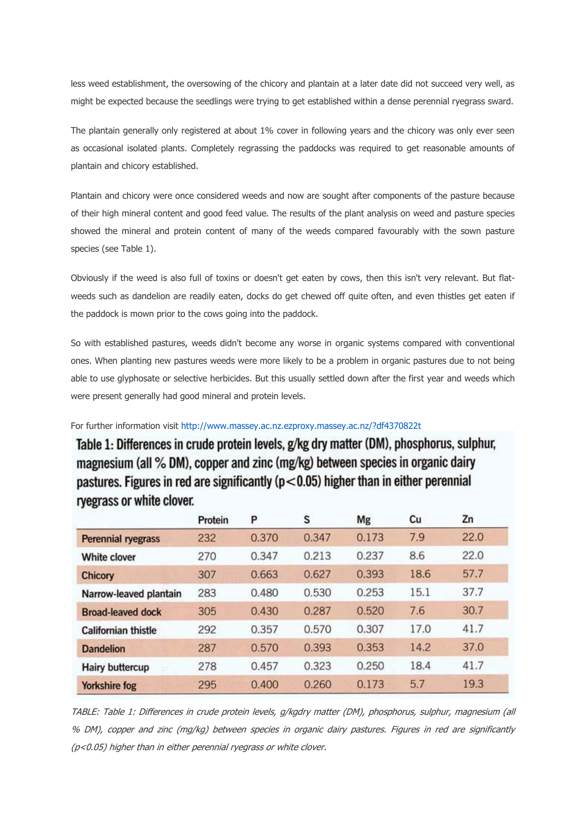less weed establishment, the oversowing of the chicory and plantain at a later date did not succeed very well, as might be expected because the seedlings were trying to get established within a dense perennial ryegrass sward.

The plantain generally only registered at about 1% cover in following years and the chicory was only ever seen as occasional isolated plants. Completely regrassing the paddocks was required to get reasonable amounts of plantain and chicory established.

Plantain and chicory were once considered weeds and now are sought after components of the pasture because of their high mineral content and good feed value. The results of the plant analysis on weed and pasture species showed the mineral and protein content of many of the weeds compared favourably with the sown pasture species (see Table 1).

Obviously if the weed is also full of toxins or doesn't get eaten by cows, then this isn't very relevant. But flatweeds such as dandelion are readily eaten, docks do get chewed off quite often, and even thistles get eaten if the paddock is mown prior to the cows going into the paddock.

So with established pastures, weeds didn't become any worse in organic systems compared with conventional ones. When planting new pastures weeds were more likely to be a problem in organic pastures due to not being able to use glyphosate or selective herbicides. But this usually settled down after the first year and weeds which were present generally had good mineral and protein levels.

For further information visit<http://www.massey.ac.nz.ezproxy.massey.ac.nz/?df4370822t>

Table 1: Differences in crude protein levels, g/kg dry matter (DM), phosphorus, sulphur, magnesium (all % DM), copper and zinc (mg/kg) between species in organic dairy pastures. Figures in red are significantly ( $p < 0.05$ ) higher than in either perennial ryegrass or white clover.

|                            | Protein | P     | s     | Mg    | Cu   | Zn   |
|----------------------------|---------|-------|-------|-------|------|------|
| <b>Perennial ryegrass</b>  | 232     | 0.370 | 0.347 | 0.173 | 7.9  | 22.0 |
| White clover               | 270     | 0.347 | 0.213 | 0.237 | 8.6  | 22.0 |
| Chicory                    | 307     | 0.663 | 0.627 | 0.393 | 18.6 | 57.7 |
| Narrow-leaved plantain     | 283     | 0.480 | 0.530 | 0.253 | 15.1 | 37.7 |
| <b>Broad-leaved dock</b>   | 305     | 0.430 | 0.287 | 0.520 | 7.6  | 30.7 |
| <b>Californian thistle</b> | 292     | 0.357 | 0.570 | 0.307 | 17.0 | 41.7 |
| <b>Dandelion</b>           | 287     | 0.570 | 0.393 | 0.353 | 14.2 | 37.0 |
| <b>Hairy buttercup</b>     | 278     | 0.457 | 0.323 | 0.250 | 18.4 | 41.7 |
| <b>Yorkshire fog</b>       | 295     | 0.400 | 0.260 | 0.173 | 5.7  | 19.3 |

TABLE: Table 1: Differences in crude protein levels, g/kgdry matter (DM), phosphorus, sulphur, magnesium (all % DM), copper and zinc (mg/kg) between species in organic dairy pastures. Figures in red are significantly (p<0.05) higher than in either perennial ryegrass or white clover.